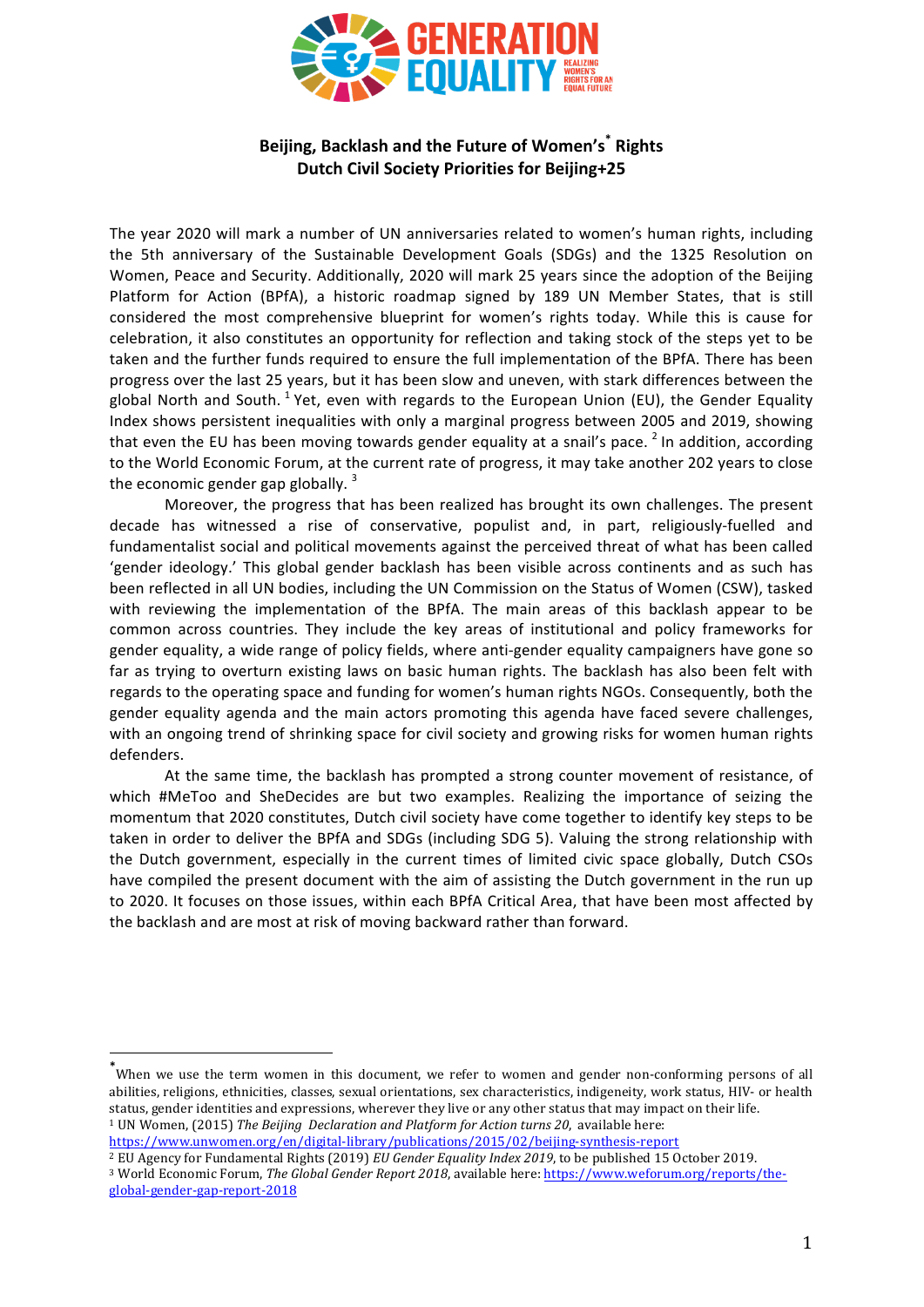

# **Beijing, Backlash and the Future of Women's \* Rights Dutch Civil Society Priorities for Beijing+25**

The year 2020 will mark a number of UN anniversaries related to women's human rights, including the 5th anniversary of the Sustainable Development Goals (SDGs) and the 1325 Resolution on Women, Peace and Security. Additionally, 2020 will mark 25 years since the adoption of the Beijing Platform for Action (BPfA), a historic roadmap signed by 189 UN Member States, that is still considered the most comprehensive blueprint for women's rights today. While this is cause for celebration, it also constitutes an opportunity for reflection and taking stock of the steps yet to be taken and the further funds required to ensure the full implementation of the BPfA. There has been progress over the last 25 years, but it has been slow and uneven, with stark differences between the global North and South. <sup>1</sup> Yet, even with regards to the European Union (EU), the Gender Equality Index shows persistent inequalities with only a marginal progress between 2005 and 2019, showing that even the EU has been moving towards gender equality at a snail's pace.<sup>2</sup> In addition, according to the World Economic Forum, at the current rate of progress, it may take another 202 years to close the economic gender gap globally.  $3$ 

Moreover, the progress that has been realized has brought its own challenges. The present decade has witnessed a rise of conservative, populist and, in part, religiously-fuelled and fundamentalist social and political movements against the perceived threat of what has been called 'gender ideology.' This global gender backlash has been visible across continents and as such has been reflected in all UN bodies, including the UN Commission on the Status of Women (CSW), tasked with reviewing the implementation of the BPfA. The main areas of this backlash appear to be common across countries. They include the key areas of institutional and policy frameworks for gender equality, a wide range of policy fields, where anti-gender equality campaigners have gone so far as trying to overturn existing laws on basic human rights. The backlash has also been felt with regards to the operating space and funding for women's human rights NGOs. Consequently, both the gender equality agenda and the main actors promoting this agenda have faced severe challenges, with an ongoing trend of shrinking space for civil society and growing risks for women human rights defenders.

At the same time, the backlash has prompted a strong counter movement of resistance, of which #MeToo and SheDecides are but two examples. Realizing the importance of seizing the momentum that 2020 constitutes, Dutch civil society have come together to identify key steps to be taken in order to deliver the BPfA and SDGs (including SDG 5). Valuing the strong relationship with the Dutch government, especially in the current times of limited civic space globally, Dutch CSOs have compiled the present document with the aim of assisting the Dutch government in the run up to 2020. It focuses on those issues, within each BPfA Critical Area, that have been most affected by the backlash and are most at risk of moving backward rather than forward.

 

<sup>\*&</sup>lt;br>When we use the term women in this document, we refer to women and gender non-conforming persons of all abilities, religions, ethnicities, classes, sexual orientations, sex characteristics, indigeneity, work status, HIV- or health status, gender identities and expressions, wherever they live or any other status that may impact on their life. <sup>1</sup> UN Women, (2015) *The Beijing Declaration and Platform for Action turns 20*, available here:

https://www.unwomen.org/en/digital-library/publications/2015/02/beijing-synthesis-report

<sup>&</sup>lt;sup>2</sup> EU Agency for Fundamental Rights (2019) *EU Gender Equality Index 2019*, to be published 15 October 2019. <sup>3</sup> World Economic Forum, *The Global Gender Report 2018*, available here: https://www.weforum.org/reports/theglobal-gender-gap-report-2018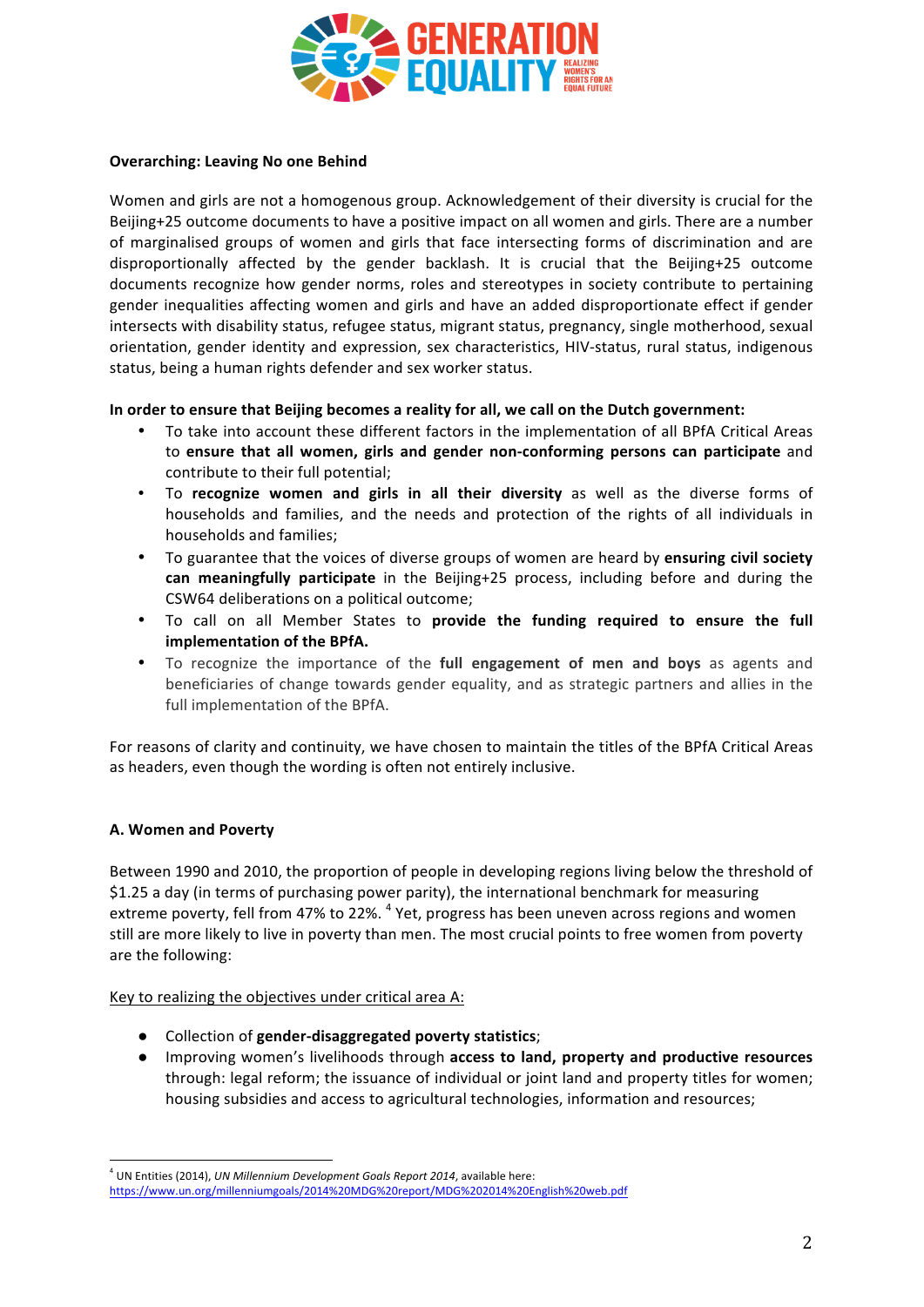

### **Overarching: Leaving No one Behind**

Women and girls are not a homogenous group. Acknowledgement of their diversity is crucial for the Beijing+25 outcome documents to have a positive impact on all women and girls. There are a number of marginalised groups of women and girls that face intersecting forms of discrimination and are disproportionally affected by the gender backlash. It is crucial that the Beijing+25 outcome documents recognize how gender norms, roles and stereotypes in society contribute to pertaining gender inequalities affecting women and girls and have an added disproportionate effect if gender intersects with disability status, refugee status, migrant status, pregnancy, single motherhood, sexual orientation, gender identity and expression, sex characteristics, HIV-status, rural status, indigenous status, being a human rights defender and sex worker status.

# In order to ensure that Beijing becomes a reality for all, we call on the Dutch government:

- To take into account these different factors in the implementation of all BPfA Critical Areas to ensure that all women, girls and gender non-conforming persons can participate and contribute to their full potential;
- To **recognize** women and girls in all their diversity as well as the diverse forms of households and families, and the needs and protection of the rights of all individuals in households and families;
- To guarantee that the voices of diverse groups of women are heard by ensuring civil society **can meaningfully participate** in the Beijing+25 process, including before and during the CSW64 deliberations on a political outcome;
- To call on all Member States to **provide the funding required to ensure the full implementation of the BPfA.**
- To recognize the importance of the **full engagement of men and boys** as agents and beneficiaries of change towards gender equality, and as strategic partners and allies in the full implementation of the BPfA.

For reasons of clarity and continuity, we have chosen to maintain the titles of the BPfA Critical Areas as headers, even though the wording is often not entirely inclusive.

# **A. Women and Poverty**

 

Between 1990 and 2010, the proportion of people in developing regions living below the threshold of \$1.25 a day (in terms of purchasing power parity), the international benchmark for measuring extreme poverty, fell from 47% to 22%. <sup>4</sup> Yet, progress has been uneven across regions and women still are more likely to live in poverty than men. The most crucial points to free women from poverty are the following:

### Key to realizing the objectives under critical area A:

- Collection of **gender-disaggregated poverty statistics**;
- **•** Improving women's livelihoods through access to land, property and productive resources through: legal reform; the issuance of individual or joint land and property titles for women; housing subsidies and access to agricultural technologies, information and resources;

<sup>&</sup>lt;sup>4</sup> UN Entities (2014), UN Millennium Development Goals Report 2014, available here:

https://www.un.org/millenniumgoals/2014%20MDG%20report/MDG%202014%20English%20web.pdf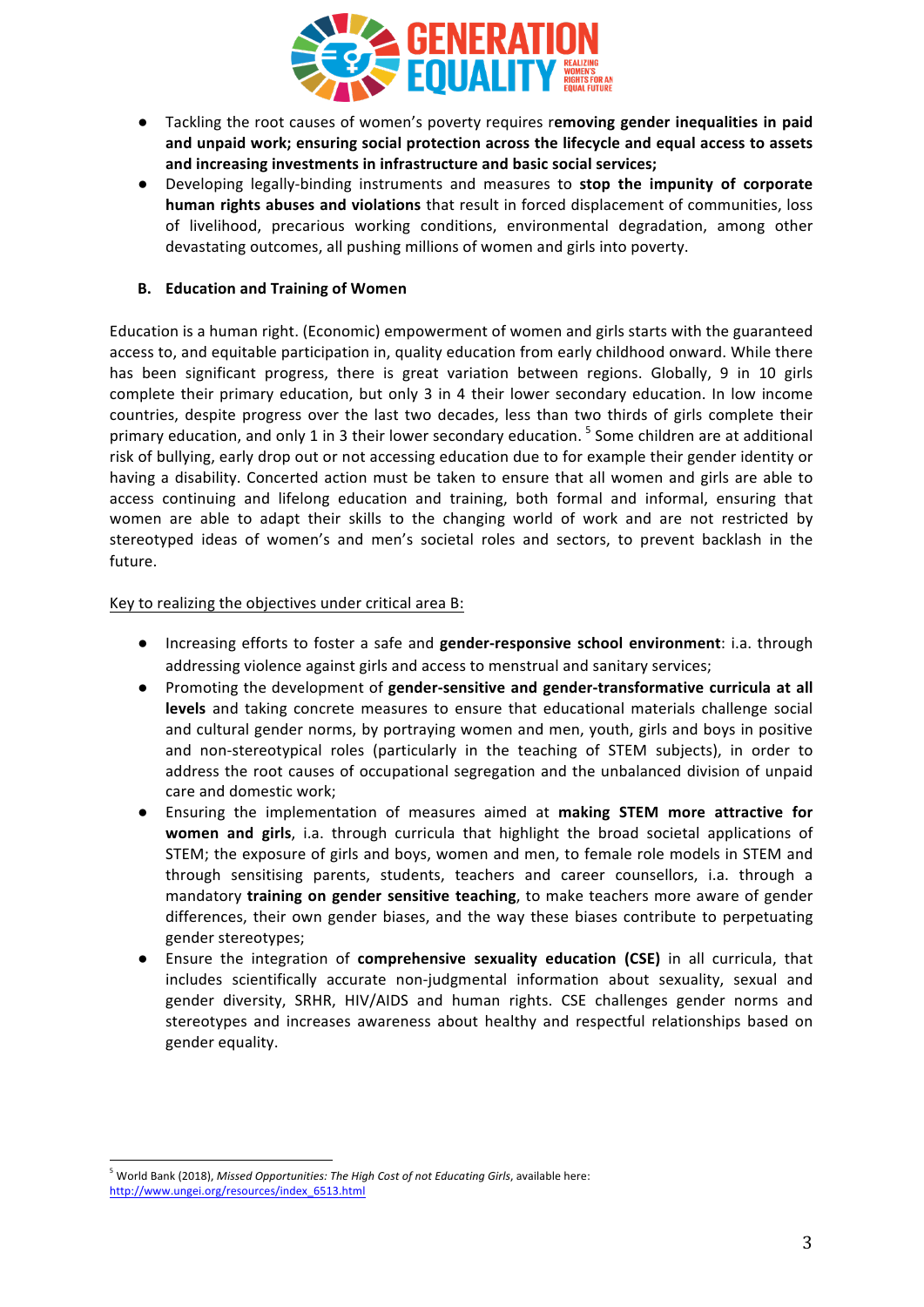

- Tackling the root causes of women's poverty requires removing gender inequalities in paid and unpaid work; ensuring social protection across the lifecycle and equal access to assets and increasing investments in infrastructure and basic social services:
- Developing legally-binding instruments and measures to **stop the impunity of corporate human rights abuses and violations** that result in forced displacement of communities, loss of livelihood, precarious working conditions, environmental degradation, among other devastating outcomes, all pushing millions of women and girls into poverty.

### **B. Education and Training of Women**

Education is a human right. (Economic) empowerment of women and girls starts with the guaranteed access to, and equitable participation in, quality education from early childhood onward. While there has been significant progress, there is great variation between regions. Globally, 9 in 10 girls complete their primary education, but only 3 in 4 their lower secondary education. In low income countries, despite progress over the last two decades, less than two thirds of girls complete their primary education, and only 1 in 3 their lower secondary education. <sup>5</sup> Some children are at additional risk of bullying, early drop out or not accessing education due to for example their gender identity or having a disability. Concerted action must be taken to ensure that all women and girls are able to access continuing and lifelong education and training, both formal and informal, ensuring that women are able to adapt their skills to the changing world of work and are not restricted by stereotyped ideas of women's and men's societal roles and sectors, to prevent backlash in the future.

### Key to realizing the objectives under critical area B:

- **•** Increasing efforts to foster a safe and **gender-responsive school environment**: i.a. through addressing violence against girls and access to menstrual and sanitary services;
- Promoting the development of gender-sensitive and gender-transformative curricula at all **levels** and taking concrete measures to ensure that educational materials challenge social and cultural gender norms, by portraying women and men, youth, girls and boys in positive and non-stereotypical roles (particularly in the teaching of STEM subjects), in order to address the root causes of occupational segregation and the unbalanced division of unpaid care and domestic work;
- Ensuring the implementation of measures aimed at **making STEM more attractive for women and girls**, i.a. through curricula that highlight the broad societal applications of STEM; the exposure of girls and boys, women and men, to female role models in STEM and through sensitising parents, students, teachers and career counsellors, i.a. through a mandatory **training on gender sensitive teaching**, to make teachers more aware of gender differences, their own gender biases, and the way these biases contribute to perpetuating gender stereotypes;
- Ensure the integration of **comprehensive sexuality education (CSE)** in all curricula, that includes scientifically accurate non-judgmental information about sexuality, sexual and gender diversity, SRHR, HIV/AIDS and human rights. CSE challenges gender norms and stereotypes and increases awareness about healthy and respectful relationships based on gender equality.

 <sup>5</sup> World Bank (2018), Missed Opportunities: The High Cost of not Educating Girls, available here: http://www.ungei.org/resources/index\_6513.html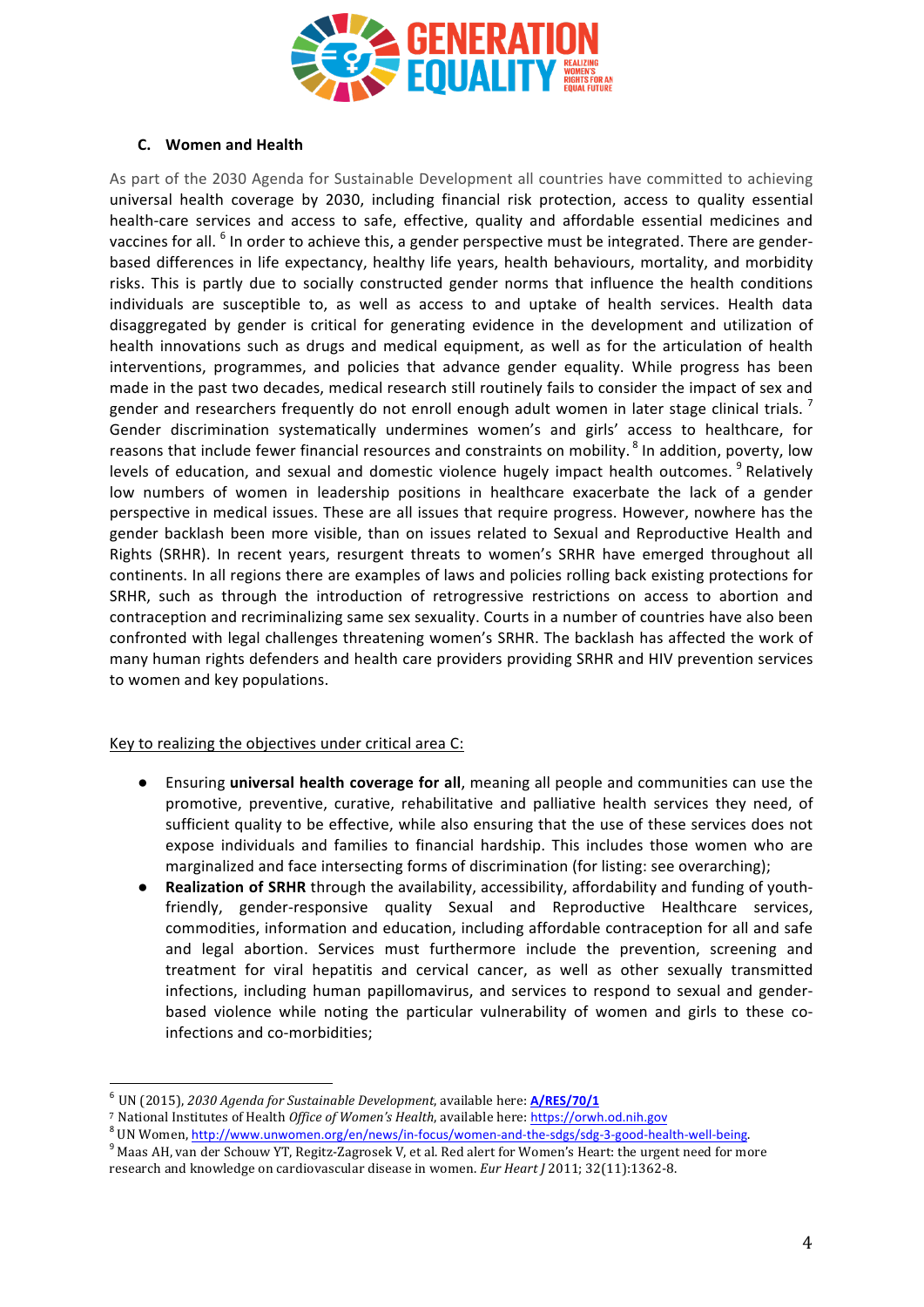

# **C. Women and Health**

As part of the 2030 Agenda for Sustainable Development all countries have committed to achieving universal health coverage by 2030, including financial risk protection, access to quality essential health-care services and access to safe, effective, quality and affordable essential medicines and vaccines for all. <sup>6</sup> In order to achieve this, a gender perspective must be integrated. There are genderbased differences in life expectancy, healthy life years, health behaviours, mortality, and morbidity risks. This is partly due to socially constructed gender norms that influence the health conditions individuals are susceptible to, as well as access to and uptake of health services. Health data disaggregated by gender is critical for generating evidence in the development and utilization of health innovations such as drugs and medical equipment, as well as for the articulation of health interventions, programmes, and policies that advance gender equality. While progress has been made in the past two decades, medical research still routinely fails to consider the impact of sex and gender and researchers frequently do not enroll enough adult women in later stage clinical trials.  $'$ Gender discrimination systematically undermines women's and girls' access to healthcare, for reasons that include fewer financial resources and constraints on mobility. <sup>8</sup> In addition, poverty, low levels of education, and sexual and domestic violence hugely impact health outcomes. <sup>9</sup> Relatively low numbers of women in leadership positions in healthcare exacerbate the lack of a gender perspective in medical issues. These are all issues that require progress. However, nowhere has the gender backlash been more visible, than on issues related to Sexual and Reproductive Health and Rights (SRHR). In recent years, resurgent threats to women's SRHR have emerged throughout all continents. In all regions there are examples of laws and policies rolling back existing protections for SRHR, such as through the introduction of retrogressive restrictions on access to abortion and contraception and recriminalizing same sex sexuality. Courts in a number of countries have also been confronted with legal challenges threatening women's SRHR. The backlash has affected the work of many human rights defenders and health care providers providing SRHR and HIV prevention services to women and key populations.

# Key to realizing the objectives under critical area C:

- **•** Ensuring **universal health coverage for all**, meaning all people and communities can use the promotive, preventive, curative, rehabilitative and palliative health services they need, of sufficient quality to be effective, while also ensuring that the use of these services does not expose individuals and families to financial hardship. This includes those women who are marginalized and face intersecting forms of discrimination (for listing: see overarching);
- **Realization of SRHR** through the availability, accessibility, affordability and funding of youthfriendly, gender-responsive quality Sexual and Reproductive Healthcare services, commodities, information and education, including affordable contraception for all and safe and legal abortion. Services must furthermore include the prevention, screening and treatment for viral hepatitis and cervical cancer, as well as other sexually transmitted infections, including human papillomavirus, and services to respond to sexual and genderbased violence while noting the particular vulnerability of women and girls to these coinfections and co-morbidities:

<sup>&</sup>lt;sup>6</sup> UN (2015), *2030 Agenda for Sustainable Development*, available here: **A/RES/70/1**<br><sup>7</sup> National Institutes of Health *Office of Women's Health*, available here: <u>https://orwh.od.nih.gov</u>

<sup>&</sup>lt;sup>8</sup> UN Women, http://www.unwomen.org/en/news/in-focus/women-and-the-sdgs/sdg-3-good-health-well-being.<br><sup>9</sup> Maas AH, van der Schouw YT, Regitz-Zagrosek V, et al. Red alert for Women's Heart: the urgent need for more research and knowledge on cardiovascular disease in women. *Eur Heart J* 2011; 32(11):1362-8.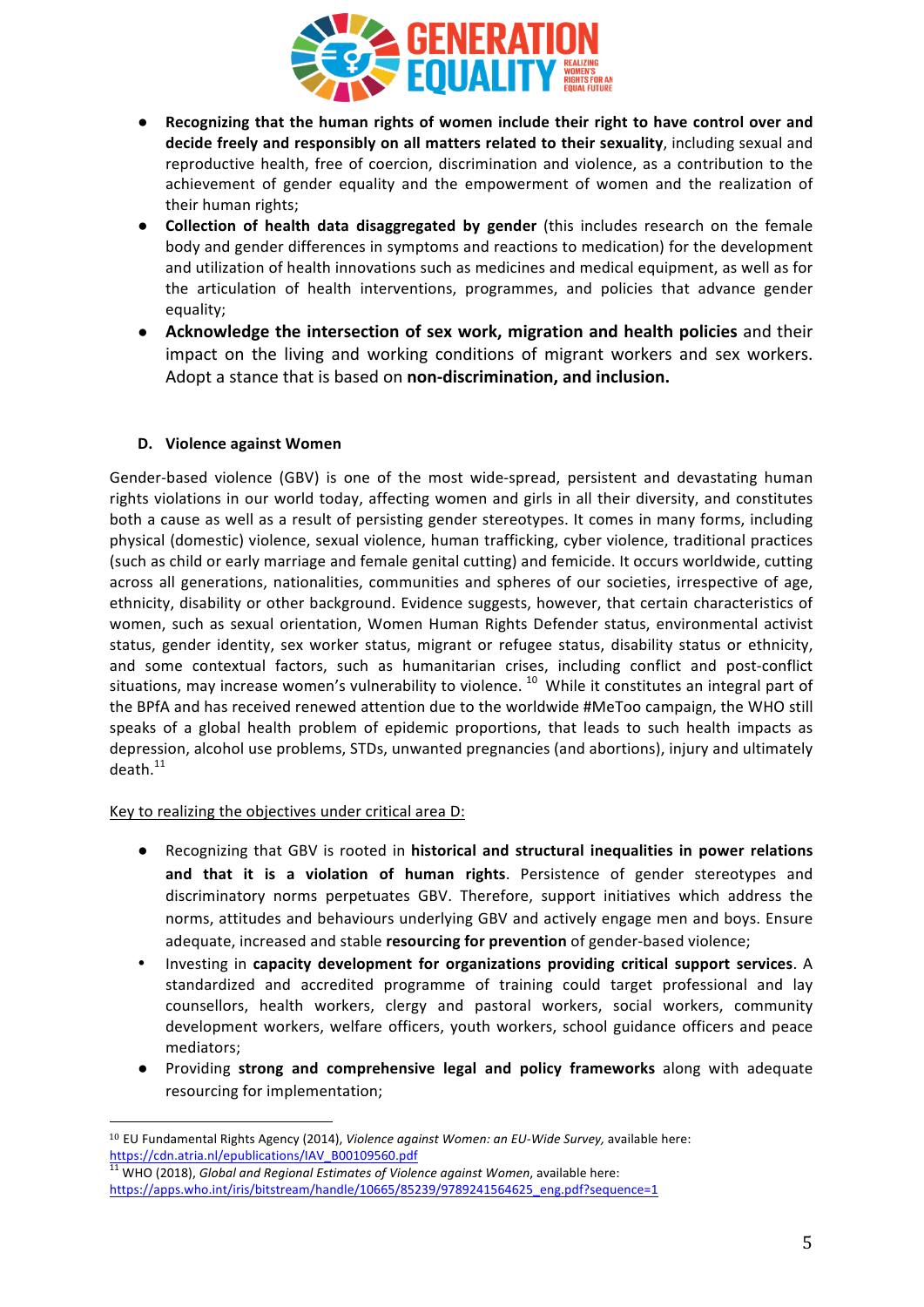

- **Recognizing that the human rights of women include their right to have control over and** decide freely and responsibly on all matters related to their sexuality, including sexual and reproductive health, free of coercion, discrimination and violence, as a contribution to the achievement of gender equality and the empowerment of women and the realization of their human rights;
- **Collection of health data disaggregated by gender** (this includes research on the female body and gender differences in symptoms and reactions to medication) for the development and utilization of health innovations such as medicines and medical equipment, as well as for the articulation of health interventions, programmes, and policies that advance gender equality;
- Acknowledge the intersection of sex work, migration and health policies and their impact on the living and working conditions of migrant workers and sex workers. Adopt a stance that is based on **non-discrimination, and inclusion.**

# **D. Violence against Women**

Gender-based violence (GBV) is one of the most wide-spread, persistent and devastating human rights violations in our world today, affecting women and girls in all their diversity, and constitutes both a cause as well as a result of persisting gender stereotypes. It comes in many forms, including physical (domestic) violence, sexual violence, human trafficking, cyber violence, traditional practices (such as child or early marriage and female genital cutting) and femicide. It occurs worldwide, cutting across all generations, nationalities, communities and spheres of our societies, irrespective of age, ethnicity, disability or other background. Evidence suggests, however, that certain characteristics of women, such as sexual orientation, Women Human Rights Defender status, environmental activist status, gender identity, sex worker status, migrant or refugee status, disability status or ethnicity, and some contextual factors, such as humanitarian crises, including conflict and post-conflict situations, may increase women's vulnerability to violence.<sup>10</sup> While it constitutes an integral part of the BPfA and has received renewed attention due to the worldwide #MeToo campaign, the WHO still speaks of a global health problem of epidemic proportions, that leads to such health impacts as depression, alcohol use problems, STDs, unwanted pregnancies (and abortions), injury and ultimately death. 11

### Key to realizing the objectives under critical area D:

- Recognizing that GBV is rooted in **historical and structural inequalities in power relations** and that it is a violation of human rights. Persistence of gender stereotypes and discriminatory norms perpetuates GBV. Therefore, support initiatives which address the norms, attitudes and behaviours underlying GBV and actively engage men and boys. Ensure adequate, increased and stable **resourcing for prevention** of gender-based violence;
- Investing in **capacity development for organizations providing critical support services**. A standardized and accredited programme of training could target professional and lay counsellors, health workers, clergy and pastoral workers, social workers, community development workers, welfare officers, youth workers, school guidance officers and peace mediators;
- Providing strong and comprehensive legal and policy frameworks along with adequate resourcing for implementation;

 10 EU Fundamental Rights Agency (2014), *Violence against Women: an EU-Wide Survey*, available here: https://cdn.atria.nl/epublications/IAV\_B00109560.pdf

<sup>&</sup>lt;sup>11</sup> WHO (2018), *Global and Regional Estimates of Violence against Women*, available here: https://apps.who.int/iris/bitstream/handle/10665/85239/9789241564625\_eng.pdf?sequence=1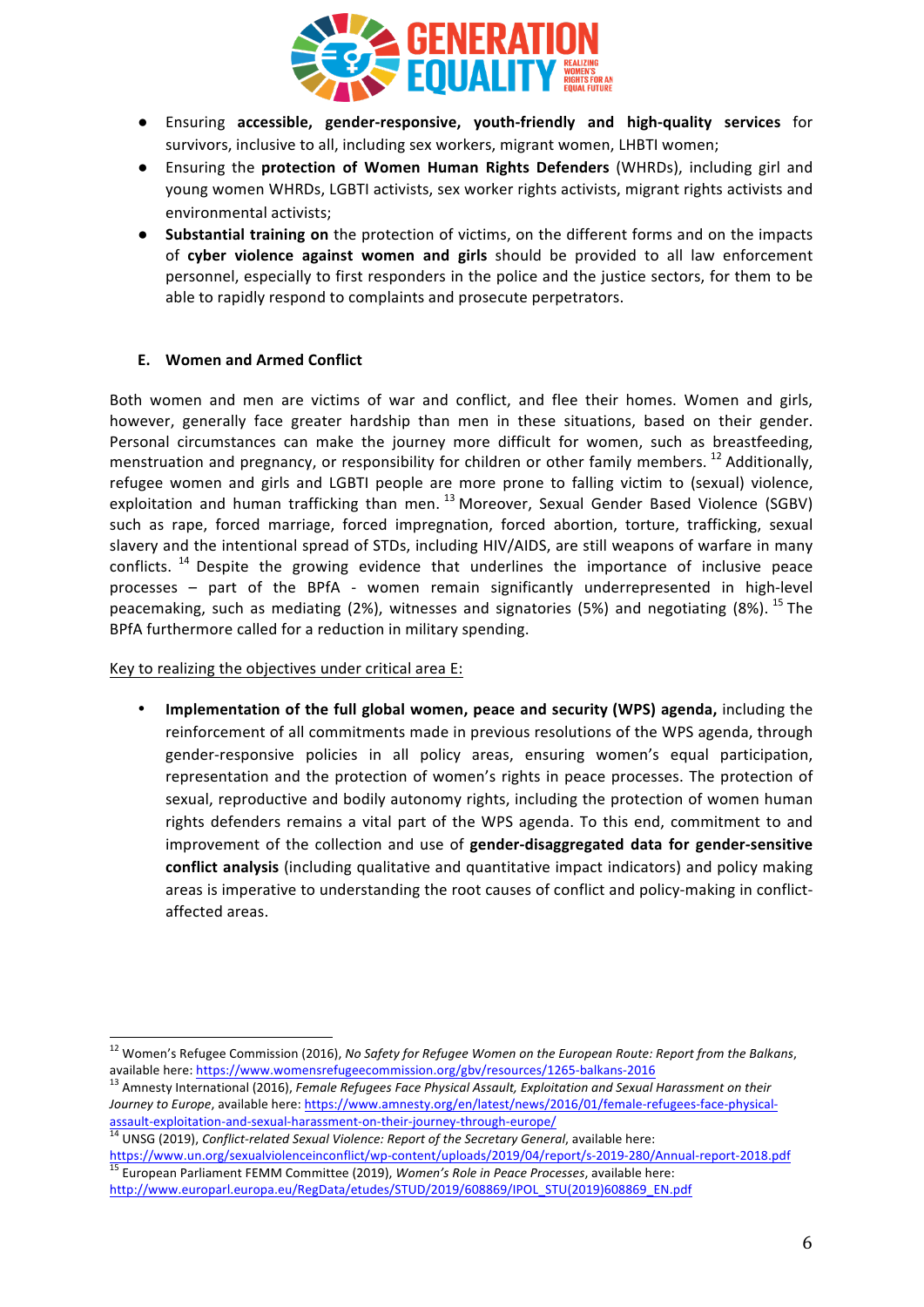

- Ensuring accessible, gender-responsive, youth-friendly and high-quality services for survivors, inclusive to all, including sex workers, migrant women, LHBTI women;
- Ensuring the **protection of Women Human Rights Defenders** (WHRDs), including girl and young women WHRDs, LGBTI activists, sex worker rights activists, migrant rights activists and environmental activists;
- **Substantial training on** the protection of victims, on the different forms and on the impacts of cyber violence against women and girls should be provided to all law enforcement personnel, especially to first responders in the police and the justice sectors, for them to be able to rapidly respond to complaints and prosecute perpetrators.

# **E. Women and Armed Conflict**

Both women and men are victims of war and conflict, and flee their homes. Women and girls, however, generally face greater hardship than men in these situations, based on their gender. Personal circumstances can make the journey more difficult for women, such as breastfeeding, menstruation and pregnancy, or responsibility for children or other family members.<sup>12</sup> Additionally, refugee women and girls and LGBTI people are more prone to falling victim to (sexual) violence, exploitation and human trafficking than men.<sup>13</sup> Moreover, Sexual Gender Based Violence (SGBV) such as rape, forced marriage, forced impregnation, forced abortion, torture, trafficking, sexual slavery and the intentional spread of STDs, including HIV/AIDS, are still weapons of warfare in many conflicts.<sup>14</sup> Despite the growing evidence that underlines the importance of inclusive peace processes – part of the BPfA - women remain significantly underrepresented in high-level peacemaking, such as mediating  $(2%)$ , witnesses and signatories  $(5%)$  and negotiating  $(8%)$ . <sup>15</sup> The BPfA furthermore called for a reduction in military spending.

Key to realizing the objectives under critical area E:

• Implementation of the full global women, peace and security (WPS) agenda, including the reinforcement of all commitments made in previous resolutions of the WPS agenda, through gender-responsive policies in all policy areas, ensuring women's equal participation, representation and the protection of women's rights in peace processes. The protection of sexual, reproductive and bodily autonomy rights, including the protection of women human rights defenders remains a vital part of the WPS agenda. To this end, commitment to and improvement of the collection and use of **gender-disaggregated data for gender-sensitive conflict analysis** (including qualitative and quantitative impact indicators) and policy making areas is imperative to understanding the root causes of conflict and policy-making in conflictaffected areas.

https://www.un.org/sexualviolenceinconflict/wp-content/uploads/2019/04/report/s-2019-280/Annual-report-2018.pdf<br><sup>15</sup> European Parliament FEMM Committee (2019), *Women's Role in Peace Processes*, available here: http://www.europarl.europa.eu/RegData/etudes/STUD/2019/608869/IPOL\_STU(2019)608869\_EN.pdf

<sup>&</sup>lt;sup>12</sup> Women's Refugee Commission (2016), No Safety for Refugee Women on the European Route: Report from the Balkans, available here: https://www.womensrefugeecommission.org/gbv/resources/1265-balkans-2016<br><sup>13</sup> Amnesty International (2016), *Female Refugees Face Physical Assault, Exploitation and Sexual Harassment on their* 

Journey to Europe, available here: https://www.amnesty.org/en/latest/news/2016/01/female-refugees-face-physicalassault-exploitation-and-sexual-harassment-on-their-journey-through-europe/<br><sup>14</sup> UNSG (2019), *Conflict-related Sexual Violence: Report of the Secretary General*, available here: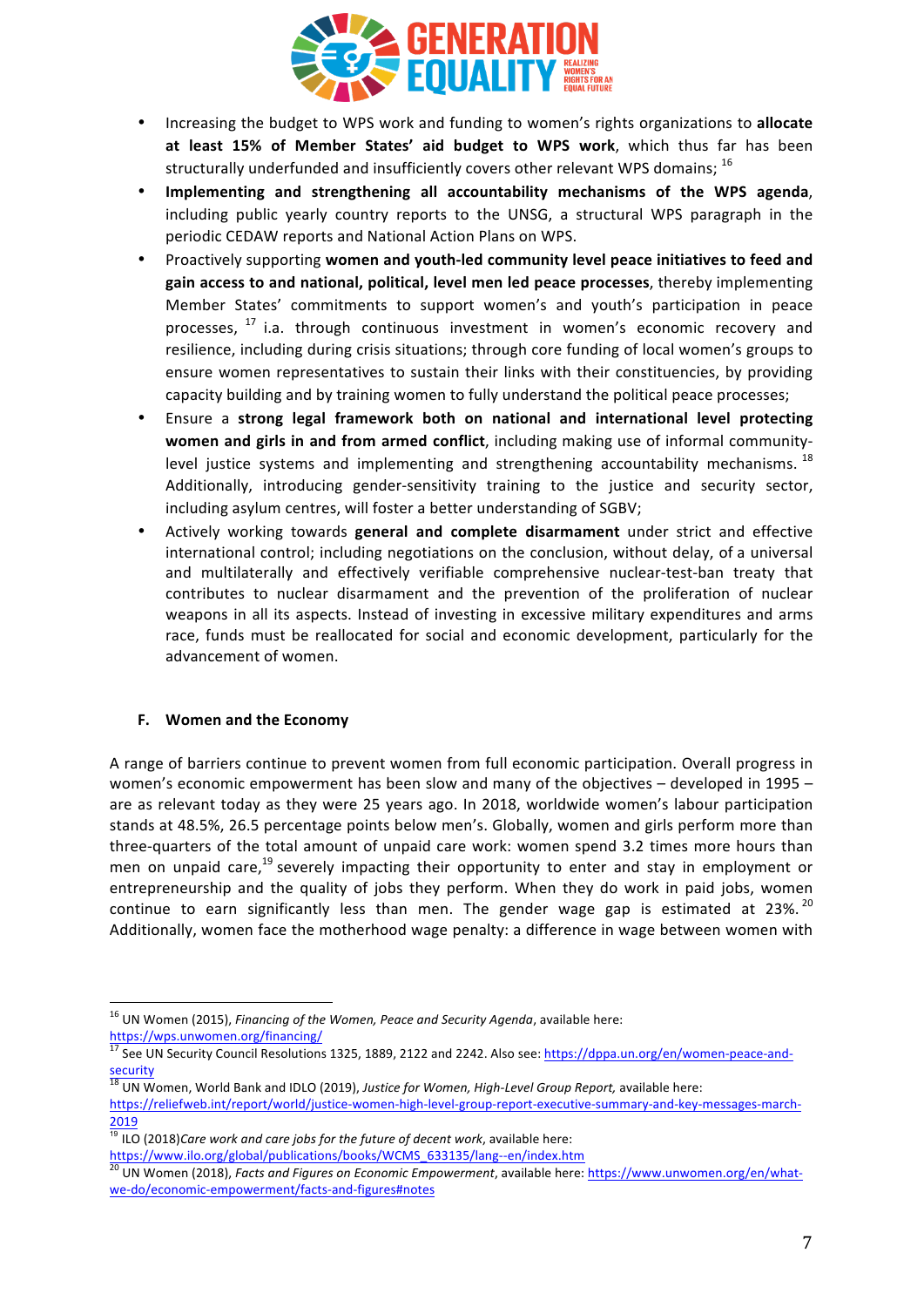

- Increasing the budget to WPS work and funding to women's rights organizations to **allocate** at least 15% of Member States' aid budget to WPS work, which thus far has been structurally underfunded and insufficiently covers other relevant WPS domains;  $^{16}$
- **Implementing and strengthening all accountability mechanisms of the WPS agenda**, including public yearly country reports to the UNSG, a structural WPS paragraph in the periodic CEDAW reports and National Action Plans on WPS.
- Proactively supporting women and youth-led community level peace initiatives to feed and **gain access to and national, political, level men led peace processes**, thereby implementing Member States' commitments to support women's and youth's participation in peace processes,  $17$  i.a. through continuous investment in women's economic recovery and resilience, including during crisis situations; through core funding of local women's groups to ensure women representatives to sustain their links with their constituencies, by providing capacity building and by training women to fully understand the political peace processes;
- Ensure a strong legal framework both on national and international level protecting **women** and girls in and from armed conflict, including making use of informal communitylevel justice systems and implementing and strengthening accountability mechanisms.<sup>18</sup> Additionally, introducing gender-sensitivity training to the justice and security sector, including asylum centres, will foster a better understanding of SGBV;
- Actively working towards general and complete disarmament under strict and effective international control; including negotiations on the conclusion, without delay, of a universal and multilaterally and effectively verifiable comprehensive nuclear-test-ban treaty that contributes to nuclear disarmament and the prevention of the proliferation of nuclear weapons in all its aspects. Instead of investing in excessive military expenditures and arms race, funds must be reallocated for social and economic development, particularly for the advancement of women.

### **F. Women and the Economy**

A range of barriers continue to prevent women from full economic participation. Overall progress in women's economic empowerment has been slow and many of the objectives  $-$  developed in 1995  $$ are as relevant today as they were 25 years ago. In 2018, worldwide women's labour participation stands at 48.5%, 26.5 percentage points below men's. Globally, women and girls perform more than three-quarters of the total amount of unpaid care work: women spend 3.2 times more hours than men on unpaid care,<sup>19</sup> severely impacting their opportunity to enter and stay in employment or entrepreneurship and the quality of jobs they perform. When they do work in paid jobs, women continue to earn significantly less than men. The gender wage gap is estimated at 23%.<sup>20</sup> Additionally, women face the motherhood wage penalty: a difference in wage between women with

<sup>&</sup>lt;sup>16</sup> UN Women (2015), *Financing of the Women, Peace and Security Agenda*, available here:

https://wps.unwomen.org/financing/<br><sup>17</sup> See UN Security Council Resolutions 1325, 1889, 2122 and 2242. Also see: https://dppa.un.org/en/women-peace-and $rac{security}{18}$ 

UN Women, World Bank and IDLO (2019), Justice for Women, High-Level Group Report, available here: https://reliefweb.int/report/world/justice-women-high-level-group-report-executive-summary-and-key-messages-march-2019

<sup>&</sup>lt;sup>19</sup> ILO (2018)Care work and care jobs for the future of decent work, available here:

https://www.ilo.org/global/publications/books/WCMS\_633135/lang--en/index.htm 20<br>20 UN Women (2018), *Facts and Figures on Economic Empowerment*, available here: https://www.unwomen.org/en/whatwe-do/economic-empowerment/facts-and-figures#notes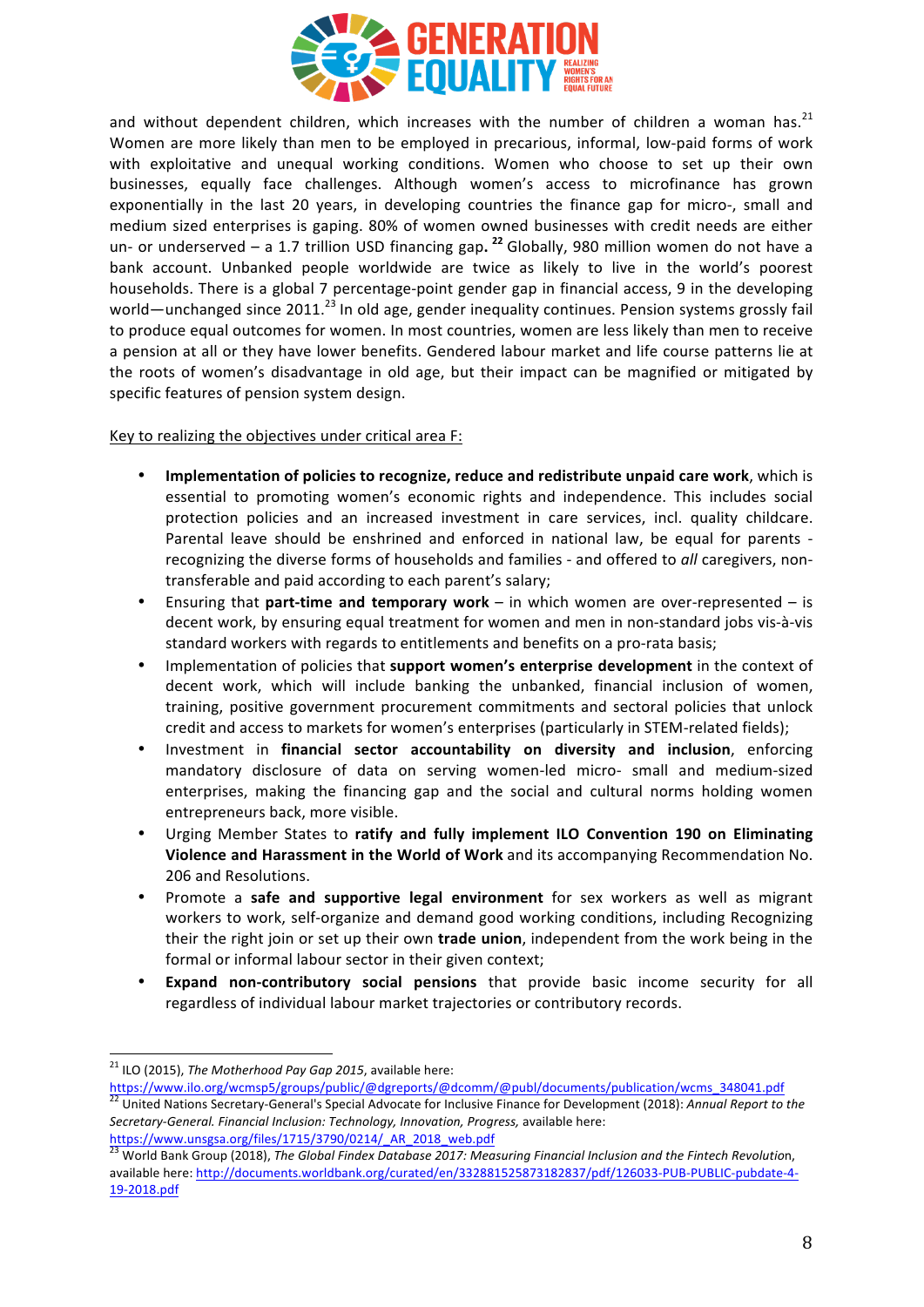

and without dependent children, which increases with the number of children a woman has.<sup>21</sup> Women are more likely than men to be employed in precarious, informal, low-paid forms of work with exploitative and unequal working conditions. Women who choose to set up their own businesses, equally face challenges. Although women's access to microfinance has grown exponentially in the last 20 years, in developing countries the finance gap for micro-, small and medium sized enterprises is gaping. 80% of women owned businesses with credit needs are either un- or underserved – a 1.7 trillion USD financing gap.<sup>22</sup> Globally, 980 million women do not have a bank account. Unbanked people worldwide are twice as likely to live in the world's poorest households. There is a global 7 percentage-point gender gap in financial access, 9 in the developing world—unchanged since 2011.<sup>23</sup> In old age, gender inequality continues. Pension systems grossly fail to produce equal outcomes for women. In most countries, women are less likely than men to receive a pension at all or they have lower benefits. Gendered labour market and life course patterns lie at the roots of women's disadvantage in old age, but their impact can be magnified or mitigated by specific features of pension system design.

Key to realizing the objectives under critical area F:

- Implementation of policies to recognize, reduce and redistribute unpaid care work, which is essential to promoting women's economic rights and independence. This includes social protection policies and an increased investment in care services, incl. quality childcare. Parental leave should be enshrined and enforced in national law, be equal for parents recognizing the diverse forms of households and families - and offered to all caregivers, nontransferable and paid according to each parent's salary;
- Ensuring that **part-time and temporary work** in which women are over-represented is decent work, by ensuring equal treatment for women and men in non-standard jobs vis-à-vis standard workers with regards to entitlements and benefits on a pro-rata basis;
- Implementation of policies that **support women's enterprise development** in the context of decent work, which will include banking the unbanked, financial inclusion of women, training, positive government procurement commitments and sectoral policies that unlock credit and access to markets for women's enterprises (particularly in STEM-related fields);
- Investment in **financial sector accountability on diversity and inclusion**, enforcing mandatory disclosure of data on serving women-led micro- small and medium-sized enterprises, making the financing gap and the social and cultural norms holding women entrepreneurs back, more visible.
- Urging Member States to ratify and fully implement ILO Convention 190 on Eliminating **Violence and Harassment in the World of Work** and its accompanying Recommendation No. 206 and Resolutions.
- Promote a safe and supportive legal environment for sex workers as well as migrant workers to work, self-organize and demand good working conditions, including Recognizing their the right join or set up their own **trade union**, independent from the work being in the formal or informal labour sector in their given context;
- **Expand non-contributory social pensions** that provide basic income security for all regardless of individual labour market trajectories or contributory records.

<sup>&</sup>lt;sup>21</sup> ILO (2015), *The Motherhood Pay Gap 2015*, available here:

https://www.ilo.org/wcmsp5/groups/public/@dgreports/@dcomm/@publ/documents/publication/wcms\_348041.pdf <sup>22</sup> United Nations Secretary-General's Special Advocate for Inclusive Finance for Development (2018): Annual Report to the Secretary-General. Financial Inclusion: Technology, Innovation, Progress, available here: https://www.unsgsa.org/files/1715/3790/0214/\_AR\_2018\_web.pdf

<sup>&</sup>lt;sup>23</sup> World Bank Group (2018), The Global Findex Database 2017: Measuring Financial Inclusion and the Fintech Revolution, available here: http://documents.worldbank.org/curated/en/332881525873182837/pdf/126033-PUB-PUBLIC-pubdate-4-19-2018.pdf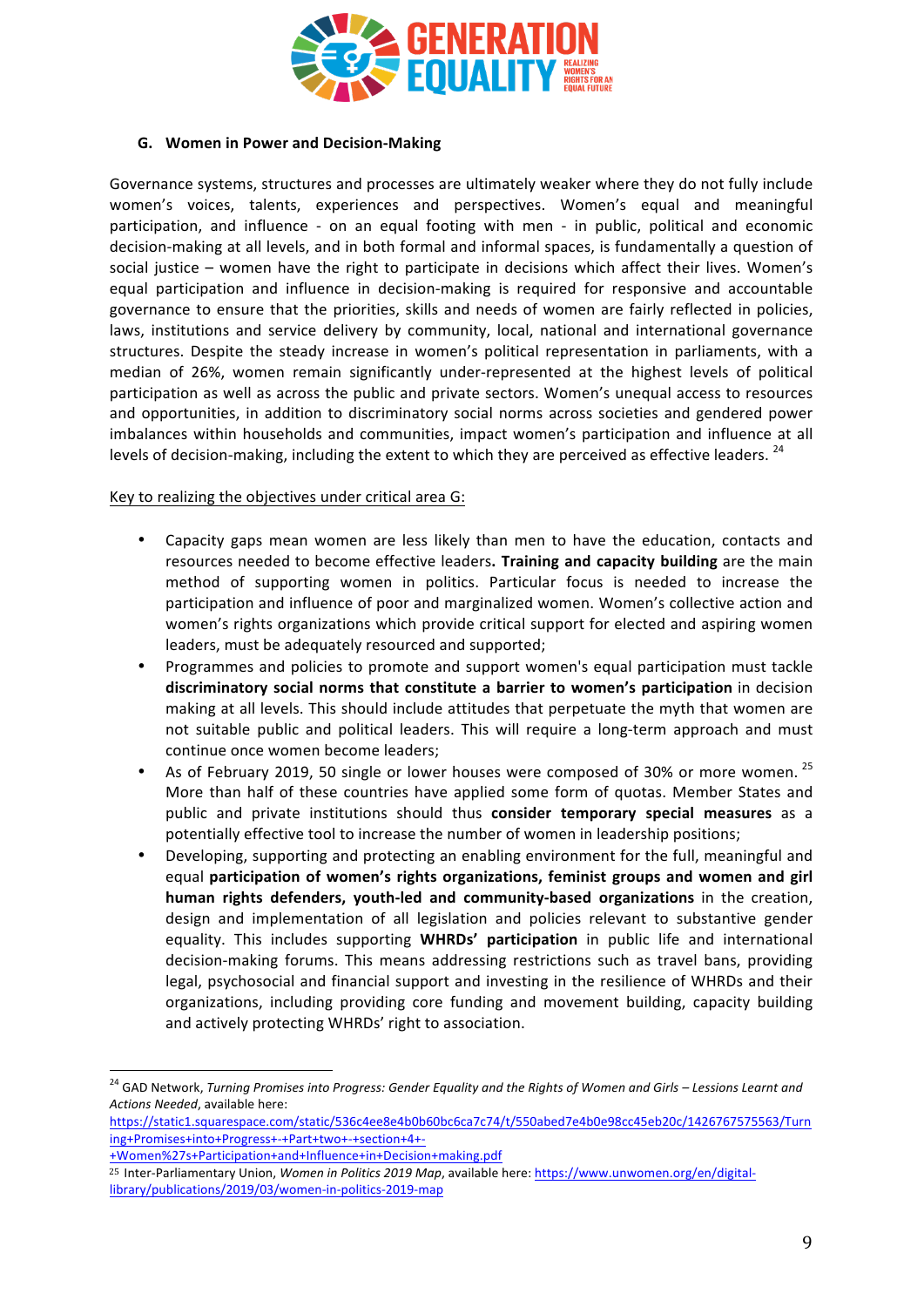

### **G. Women in Power and Decision-Making**

Governance systems, structures and processes are ultimately weaker where they do not fully include women's voices, talents, experiences and perspectives. Women's equal and meaningful participation, and influence - on an equal footing with men - in public, political and economic decision-making at all levels, and in both formal and informal spaces, is fundamentally a question of social justice – women have the right to participate in decisions which affect their lives. Women's equal participation and influence in decision-making is required for responsive and accountable governance to ensure that the priorities, skills and needs of women are fairly reflected in policies, laws, institutions and service delivery by community, local, national and international governance structures. Despite the steady increase in women's political representation in parliaments, with a median of 26%, women remain significantly under-represented at the highest levels of political participation as well as across the public and private sectors. Women's unequal access to resources and opportunities, in addition to discriminatory social norms across societies and gendered power imbalances within households and communities, impact women's participation and influence at all levels of decision-making, including the extent to which they are perceived as effective leaders.<sup>24</sup>

### Key to realizing the objectives under critical area G:

- Capacity gaps mean women are less likely than men to have the education, contacts and resources needed to become effective leaders. Training and capacity building are the main method of supporting women in politics. Particular focus is needed to increase the participation and influence of poor and marginalized women. Women's collective action and women's rights organizations which provide critical support for elected and aspiring women leaders, must be adequately resourced and supported;
- Programmes and policies to promote and support women's equal participation must tackle discriminatory social norms that constitute a barrier to women's participation in decision making at all levels. This should include attitudes that perpetuate the myth that women are not suitable public and political leaders. This will require a long-term approach and must continue once women become leaders;
- As of February 2019, 50 single or lower houses were composed of 30% or more women. <sup>25</sup> More than half of these countries have applied some form of quotas. Member States and public and private institutions should thus **consider temporary special measures** as a potentially effective tool to increase the number of women in leadership positions;
- Developing, supporting and protecting an enabling environment for the full, meaningful and equal **participation of women's rights organizations, feminist groups and women and girl human rights defenders, youth-led and community-based organizations** in the creation, design and implementation of all legislation and policies relevant to substantive gender equality. This includes supporting **WHRDs' participation** in public life and international decision-making forums. This means addressing restrictions such as travel bans, providing legal, psychosocial and financial support and investing in the resilience of WHRDs and their organizations, including providing core funding and movement building, capacity building and actively protecting WHRDs' right to association.

<sup>&</sup>lt;sup>24</sup> GAD Network, *Turning Promises into Progress: Gender Equality and the Rights of Women and Girls – Lessions Learnt and* Actions Needed, available here:

https://static1.squarespace.com/static/536c4ee8e4b0b60bc6ca7c74/t/550abed7e4b0e98cc45eb20c/1426767575563/Turn ing+Promises+into+Progress+-+Part+two+-+section+4+-

<sup>+</sup>Women%27s+Participation+and+Influence+in+Decision+making.pdf

<sup>&</sup>lt;sup>25</sup> Inter-Parliamentary Union, Women in Politics 2019 Map, available here: https://www.unwomen.org/en/digitallibrary/publications/2019/03/women-in-politics-2019-map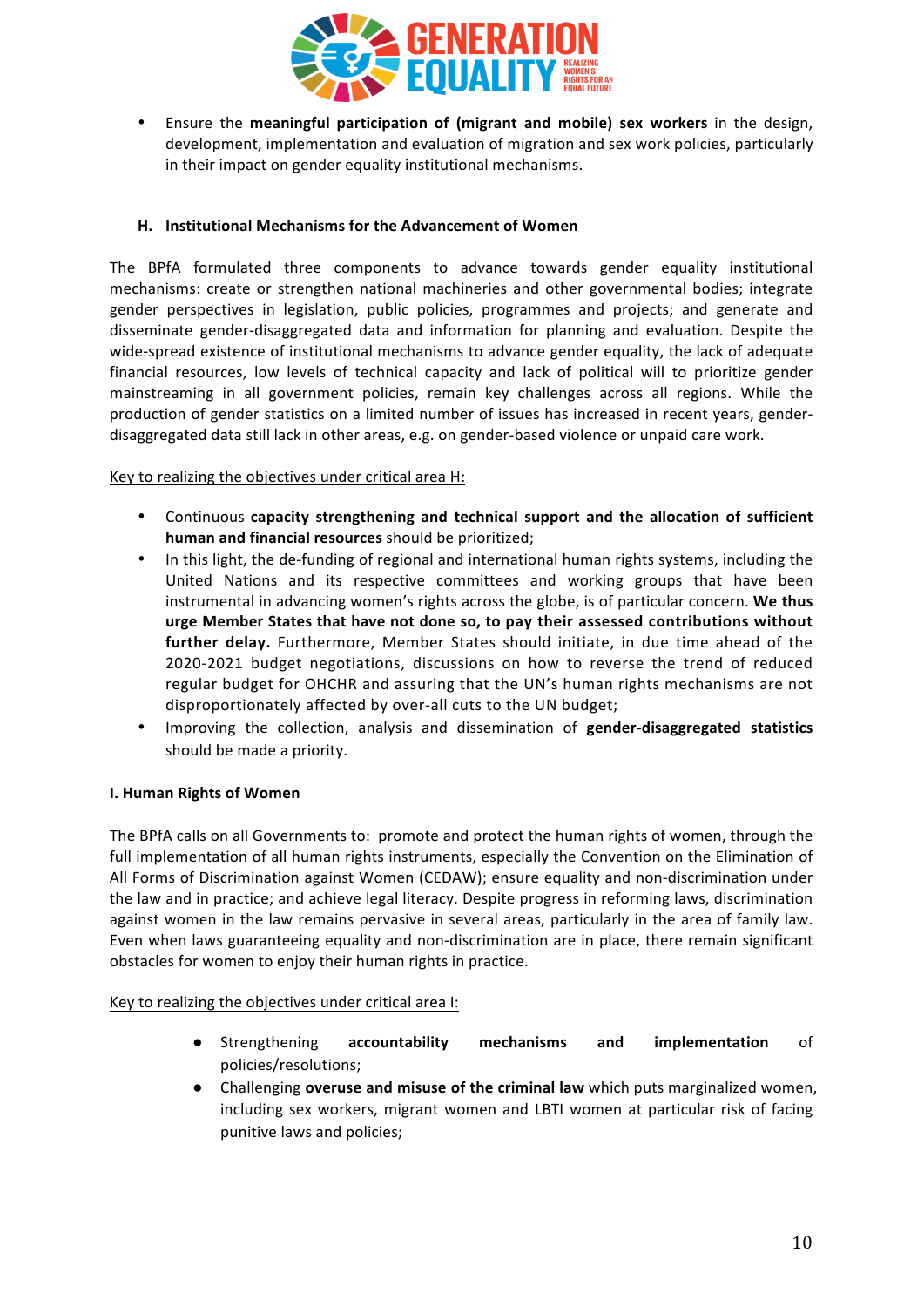

• Ensure the **meaningful participation of (migrant and mobile)** sex workers in the design, development, implementation and evaluation of migration and sex work policies, particularly in their impact on gender equality institutional mechanisms.

### **H. Institutional Mechanisms for the Advancement of Women**

The BPfA formulated three components to advance towards gender equality institutional mechanisms: create or strengthen national machineries and other governmental bodies; integrate gender perspectives in legislation, public policies, programmes and projects; and generate and disseminate gender-disaggregated data and information for planning and evaluation. Despite the wide-spread existence of institutional mechanisms to advance gender equality, the lack of adequate financial resources, low levels of technical capacity and lack of political will to prioritize gender mainstreaming in all government policies, remain key challenges across all regions. While the production of gender statistics on a limited number of issues has increased in recent years, genderdisaggregated data still lack in other areas, e.g. on gender-based violence or unpaid care work.

### Key to realizing the objectives under critical area H:

- Continuous **capacity strengthening and technical support and the allocation of sufficient human and financial resources** should be prioritized;
- In this light, the de-funding of regional and international human rights systems, including the United Nations and its respective committees and working groups that have been instrumental in advancing women's rights across the globe, is of particular concern. We thus urge Member States that have not done so, to pay their assessed contributions without further delay. Furthermore, Member States should initiate, in due time ahead of the 2020-2021 budget negotiations, discussions on how to reverse the trend of reduced regular budget for OHCHR and assuring that the UN's human rights mechanisms are not disproportionately affected by over-all cuts to the UN budget;
- Improving the collection, analysis and dissemination of **gender-disaggregated statistics** should be made a priority.

# **I. Human Rights of Women**

The BPfA calls on all Governments to: promote and protect the human rights of women, through the full implementation of all human rights instruments, especially the Convention on the Elimination of All Forms of Discrimination against Women (CEDAW); ensure equality and non-discrimination under the law and in practice; and achieve legal literacy. Despite progress in reforming laws, discrimination against women in the law remains pervasive in several areas, particularly in the area of family law. Even when laws guaranteeing equality and non-discrimination are in place, there remain significant obstacles for women to enjoy their human rights in practice.

# Key to realizing the objectives under critical area I:

- Strengthening **accountability mechanisms and implementation** of policies/resolutions;
- **•** Challenging **overuse and misuse of the criminal law** which puts marginalized women, including sex workers, migrant women and LBTI women at particular risk of facing punitive laws and policies;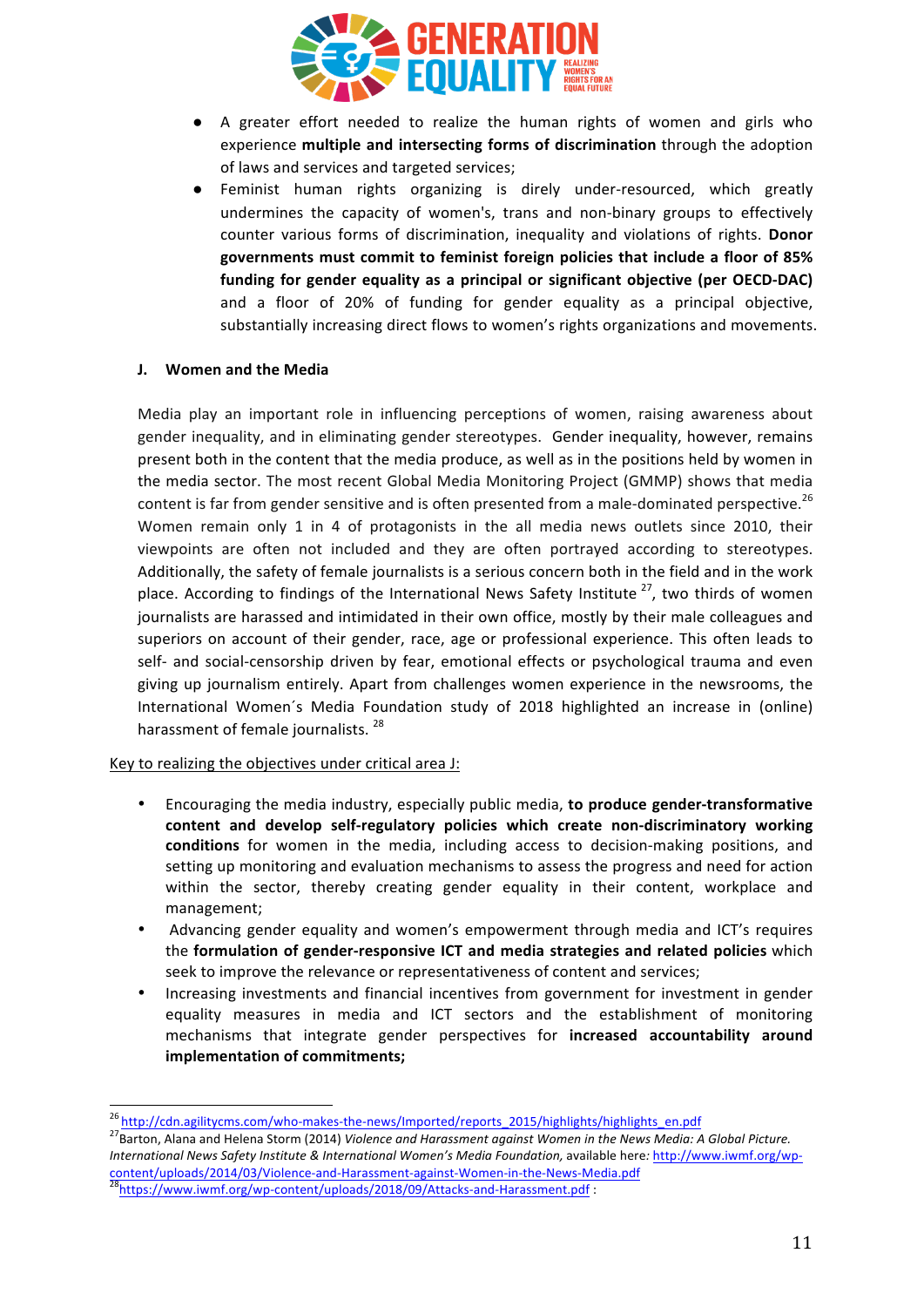

- A greater effort needed to realize the human rights of women and girls who experience **multiple and intersecting forms of discrimination** through the adoption of laws and services and targeted services;
- Feminist human rights organizing is direly under-resourced, which greatly undermines the capacity of women's, trans and non-binary groups to effectively counter various forms of discrimination, inequality and violations of rights. **Donor** governments must commit to feminist foreign policies that include a floor of 85% funding for gender equality as a principal or significant objective (per OECD-DAC) and a floor of 20% of funding for gender equality as a principal objective, substantially increasing direct flows to women's rights organizations and movements.

### **J. Women and the Media**

Media play an important role in influencing perceptions of women, raising awareness about gender inequality, and in eliminating gender stereotypes. Gender inequality, however, remains present both in the content that the media produce, as well as in the positions held by women in the media sector. The most recent Global Media Monitoring Project (GMMP) shows that media content is far from gender sensitive and is often presented from a male-dominated perspective.<sup>26</sup> Women remain only 1 in 4 of protagonists in the all media news outlets since 2010, their viewpoints are often not included and they are often portrayed according to stereotypes. Additionally, the safety of female journalists is a serious concern both in the field and in the work place. According to findings of the International News Safety Institute  $27$ , two thirds of women journalists are harassed and intimidated in their own office, mostly by their male colleagues and superiors on account of their gender, race, age or professional experience. This often leads to self- and social-censorship driven by fear, emotional effects or psychological trauma and even giving up journalism entirely. Apart from challenges women experience in the newsrooms, the International Women's Media Foundation study of 2018 highlighted an increase in (online) harassment of female journalists.<sup>28</sup>

### Key to realizing the objectives under critical area J:

- Encouraging the media industry, especially public media, to produce gender-transformative content and develop self-regulatory policies which create non-discriminatory working **conditions** for women in the media, including access to decision-making positions, and setting up monitoring and evaluation mechanisms to assess the progress and need for action within the sector, thereby creating gender equality in their content, workplace and management;
- Advancing gender equality and women's empowerment through media and ICT's requires the **formulation of gender-responsive ICT and media strategies and related policies** which seek to improve the relevance or representativeness of content and services;
- Increasing investments and financial incentives from government for investment in gender equality measures in media and ICT sectors and the establishment of monitoring mechanisms that integrate gender perspectives for **increased accountability around implementation of commitments;**

<sup>26</sup> http://cdn.agilitycms.com/who-makes-the-news/Imported/reports\_2015/highlights/highlights\_en.pdf 27Barton, Alana and Helena Storm (2014) *Violence and Harassment against Women in the News Media:* A Global Picture. *International News Safety Institute & International Women's Media Foundation, available here: http://www.iwmf.org/wp*content/uploads/2014/03/Violence-and-Harassment-against-Women-in-the-News-Media.pdf<br><sup>28</sup>https://www.iwmf.org/wp-content/uploads/2018/09/Attacks-and-Harassment.pdf :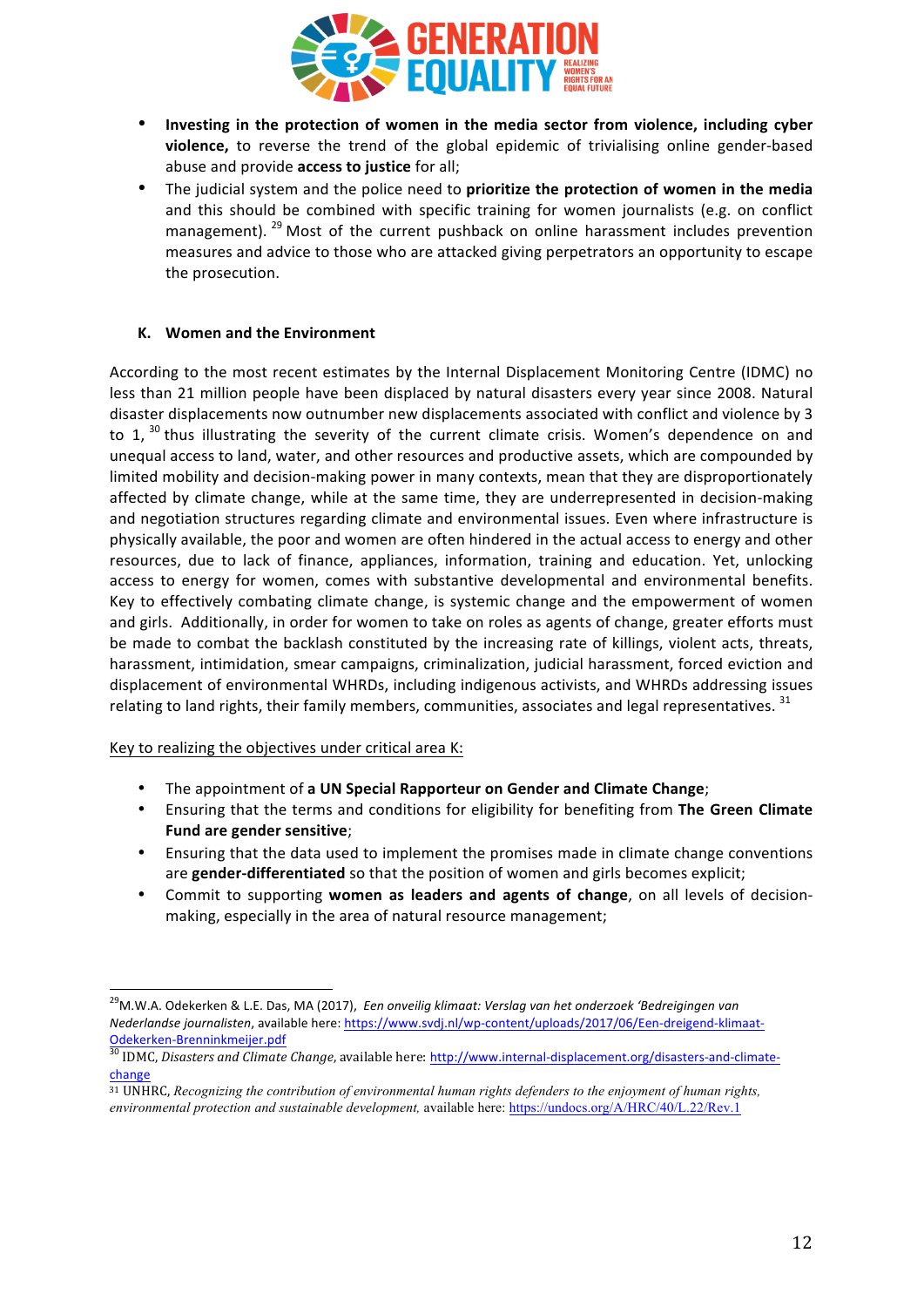

- Investing in the protection of women in the media sector from violence, including cyber violence, to reverse the trend of the global epidemic of trivialising online gender-based abuse and provide **access to justice** for all;
- The judicial system and the police need to **prioritize the protection of women in the media** and this should be combined with specific training for women journalists (e.g. on conflict management).  $29$  Most of the current pushback on online harassment includes prevention measures and advice to those who are attacked giving perpetrators an opportunity to escape the prosecution.

# **K. Women and the Environment**

According to the most recent estimates by the Internal Displacement Monitoring Centre (IDMC) no less than 21 million people have been displaced by natural disasters every year since 2008. Natural disaster displacements now outnumber new displacements associated with conflict and violence by 3 to 1,  $^{30}$  thus illustrating the severity of the current climate crisis. Women's dependence on and unequal access to land, water, and other resources and productive assets, which are compounded by limited mobility and decision-making power in many contexts, mean that they are disproportionately affected by climate change, while at the same time, they are underrepresented in decision-making and negotiation structures regarding climate and environmental issues. Even where infrastructure is physically available, the poor and women are often hindered in the actual access to energy and other resources, due to lack of finance, appliances, information, training and education. Yet, unlocking access to energy for women, comes with substantive developmental and environmental benefits. Key to effectively combating climate change, is systemic change and the empowerment of women and girls. Additionally, in order for women to take on roles as agents of change, greater efforts must be made to combat the backlash constituted by the increasing rate of killings, violent acts, threats, harassment, intimidation, smear campaigns, criminalization, judicial harassment, forced eviction and displacement of environmental WHRDs, including indigenous activists, and WHRDs addressing issues relating to land rights, their family members, communities, associates and legal representatives.  $31$ 

Key to realizing the objectives under critical area K:

- The appointment of a UN Special Rapporteur on Gender and Climate Change;
- Ensuring that the terms and conditions for eligibility for benefiting from The Green Climate **Fund are gender sensitive;**
- Ensuring that the data used to implement the promises made in climate change conventions are **gender-differentiated** so that the position of women and girls becomes explicit;
- Commit to supporting **women as leaders and agents of change**, on all levels of decisionmaking, especially in the area of natural resource management;

<sup>&</sup>lt;sup>29</sup>M.W.A. Odekerken & L.E. Das, MA (2017), *Een onveilig klimaat: Verslag van het onderzoek 'Bedreigingen van Nederlandse journalisten*, available here: https://www.svdj.nl/wp-content/uploads/2017/06/Een-dreigend-klimaat-Odekerken-Brenninkmeijer.pdf<br><sup>30</sup> IDMC, *Disasters and Climate Change*, available here: http://www.internal-displacement.org/disasters-and-climate-

change

<sup>31</sup> UNHRC, *Recognizing the contribution of environmental human rights defenders to the enjoyment of human rights, environmental protection and sustainable development,* available here: https://undocs.org/A/HRC/40/L.22/Rev.1